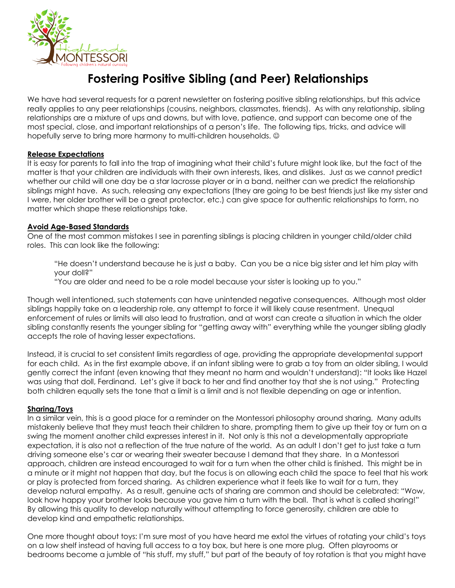

# **Fostering Positive Sibling (and Peer) Relationships**

We have had several requests for a parent newsletter on fostering positive sibling relationships, but this advice really applies to any peer relationships (cousins, neighbors, classmates, friends). As with any relationship, sibling relationships are a mixture of ups and downs, but with love, patience, and support can become one of the most special, close, and important relationships of a person's life. The following tips, tricks, and advice will hopefully serve to bring more harmony to multi-children households.  $\odot$ 

### **Release Expectations**

It is easy for parents to fall into the trap of imagining what their child's future might look like, but the fact of the matter is that your children are individuals with their own interests, likes, and dislikes. Just as we cannot predict whether our child will one day be a star lacrosse player or in a band, neither can we predict the relationship siblings might have. As such, releasing any expectations (they are going to be best friends just like my sister and I were, her older brother will be a great protector, etc.) can give space for authentic relationships to form, no matter which shape these relationships take.

### **Avoid Age-Based Standards**

One of the most common mistakes I see in parenting siblings is placing children in younger child/older child roles. This can look like the following:

"He doesn't understand because he is just a baby. Can you be a nice big sister and let him play with your doll?" "You are older and need to be a role model because your sister is looking up to you."

Though well intentioned, such statements can have unintended negative consequences. Although most older siblings happily take on a leadership role, any attempt to force it will likely cause resentment. Unequal enforcement of rules or limits will also lead to frustration, and at worst can create a situation in which the older sibling constantly resents the younger sibling for "getting away with" everything while the younger sibling gladly accepts the role of having lesser expectations.

Instead, it is crucial to set consistent limits regardless of age, providing the appropriate developmental support for each child. As in the first example above, if an infant sibling were to grab a toy from an older sibling, I would gently correct the infant (even knowing that they meant no harm and wouldn't understand): "It looks like Hazel was using that doll, Ferdinand. Let's give it back to her and find another toy that she is not using." Protecting both children equally sets the tone that a limit is a limit and is not flexible depending on age or intention.

#### **Sharing/Toys**

In a similar vein, this is a good place for a reminder on the Montessori philosophy around sharing. Many adults mistakenly believe that they must teach their children to share, prompting them to give up their toy or turn on a swing the moment another child expresses interest in it. Not only is this not a developmentally appropriate expectation, it is also not a reflection of the true nature of the world. As an adult I don't get to just take a turn driving someone else's car or wearing their sweater because I demand that they share. In a Montessori approach, children are instead encouraged to wait for a turn when the other child is finished. This might be in a minute or it might not happen that day, but the focus is on allowing each child the space to feel that his work or play is protected from forced sharing. As children experience what it feels like to wait for a turn, they develop natural empathy. As a result, genuine acts of sharing are common and should be celebrated: "Wow, look how happy your brother looks because you gave him a turn with the ball. That is what is called sharing!" By allowing this quality to develop naturally without attempting to force generosity, children are able to develop kind and empathetic relationships.

One more thought about toys: I'm sure most of you have heard me extol the virtues of rotating your child's toys on a low shelf instead of having full access to a toy box, but here is one more plug. Often playrooms or bedrooms become a jumble of "his stuff, my stuff," but part of the beauty of toy rotation is that you might have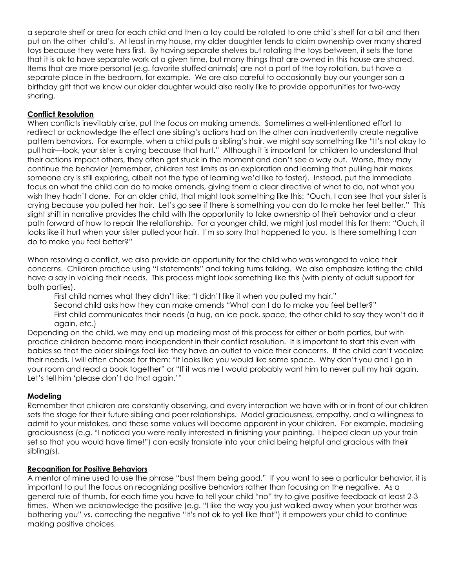a separate shelf or area for each child and then a toy could be rotated to one child's shelf for a bit and then put on the other child's. At least in my house, my older daughter tends to claim ownership over many shared toys because they were hers first. By having separate shelves but rotating the toys between, it sets the tone that it is ok to have separate work at a given time, but many things that are owned in this house are shared. Items that are more personal (e.g. favorite stuffed animals) are not a part of the toy rotation, but have a separate place in the bedroom, for example. We are also careful to occasionally buy our younger son a birthday gift that we know our older daughter would also really like to provide opportunities for two-way sharing.

# **Conflict Resolution**

When conflicts inevitably arise, put the focus on making amends. Sometimes a well-intentioned effort to redirect or acknowledge the effect one sibling's actions had on the other can inadvertently create negative pattern behaviors. For example, when a child pulls a sibling's hair, we might say something like "It's not okay to pull hair—look, your sister is crying because that hurt." Although it is important for children to understand that their actions impact others, they often get stuck in the moment and don't see a way out. Worse, they may continue the behavior (remember, children test limits as an exploration and learning that pulling hair makes someone cry is still exploring, albeit not the type of learning we'd like to foster). Instead, put the immediate focus on what the child can do to make amends, giving them a clear directive of what to do, not what you wish they hadn't done. For an older child, that might look something like this: "Ouch, I can see that your sister is crying because you pulled her hair. Let's go see if there is something you can do to make her feel better." This slight shift in narrative provides the child with the opportunity to take ownership of their behavior and a clear path forward of how to repair the relationship. For a younger child, we might just model this for them: "Ouch, it looks like it hurt when your sister pulled your hair. I'm so sorry that happened to you. Is there something I can do to make you feel better?"

When resolving a conflict, we also provide an opportunity for the child who was wronged to voice their concerns. Children practice using "I statements" and taking turns talking. We also emphasize letting the child have a say in voicing their needs. This process might look something like this (with plenty of adult support for both parties).

First child names what they didn't like: "I didn't like it when you pulled my hair." Second child asks how they can make amends "What can I do to make you feel better?"

First child communicates their needs (a hug, an ice pack, space, the other child to say they won't do it again, etc.)

Depending on the child, we may end up modeling most of this process for either or both parties, but with practice children become more independent in their conflict resolution. It is important to start this even with babies so that the older siblings feel like they have an outlet to voice their concerns. If the child can't vocalize their needs, I will often choose for them: "It looks like you would like some space. Why don't you and I go in your room and read a book together" or "If it was me I would probably want him to never pull my hair again. Let's tell him 'please don't do that again.'"

# **Modeling**

Remember that children are constantly observing, and every interaction we have with or in front of our children sets the stage for their future sibling and peer relationships. Model graciousness, empathy, and a willingness to admit to your mistakes, and these same values will become apparent in your children. For example, modeling graciousness (e.g. "I noticed you were really interested in finishing your painting. I helped clean up your train set so that you would have time!") can easily translate into your child being helpful and gracious with their sibling(s).

# **Recognition for Positive Behaviors**

A mentor of mine used to use the phrase "bust them being good." If you want to see a particular behavior, it is important to put the focus on recognizing positive behaviors rather than focusing on the negative. As a general rule of thumb, for each time you have to tell your child "no" try to give positive feedback at least 2-3 times. When we acknowledge the positive (e.g. "I like the way you just walked away when your brother was bothering you" vs. correcting the negative "It's not ok to yell like that") it empowers your child to continue making positive choices.